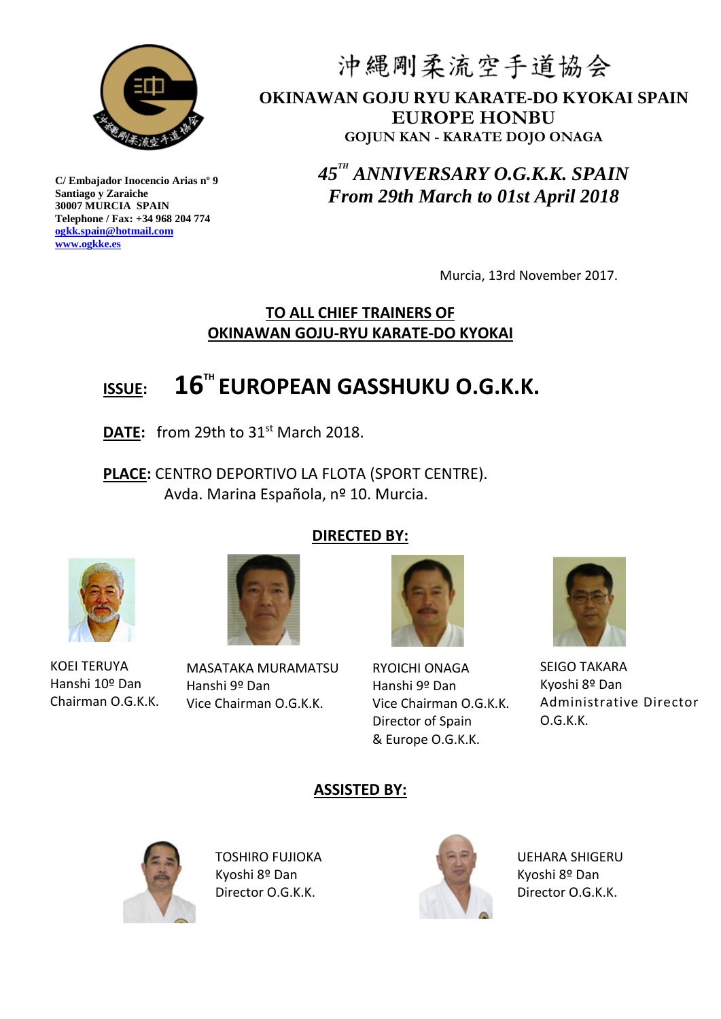

沖縄剛柔流空手道協会 **OKINAWAN GOJU RYU KARATE-DO KYOKAI SPAIN EUROPE HONBU GOJUN KAN - KARATE DOJO ONAGA**

> *45 TH ANNIVERSARY O.G.K.K. SPAIN From 29th March to 01st April 2018*

> > Murcia, 13rd November 2017.

### **TO ALL CHIEF TRAINERS OF OKINAWAN GOJU-RYU KARATE-DO KYOKAI**

# **ISSUE: 16TH EUROPEAN GASSHUKU O.G.K.K.**

DATE: from 29th to 31<sup>st</sup> March 2018.

**PLACE:** CENTRO DEPORTIVO LA FLOTA (SPORT CENTRE). Avda. Marina Española, nº 10. Murcia.

### **DIRECTED BY:**





KOEI TERUYA Hanshi 10º Dan Chairman O.G.K.K.

MASATAKA MURAMATSU Hanshi 9º Dan Vice Chairman O.G.K.K.



RYOICHI ONAGA Hanshi 9º Dan Vice Chairman O.G.K.K. Director of Spain & Europe O.G.K.K.



SEIGO TAKARA Kyoshi 8º Dan Administrative Director O.G.K.K.

### **ASSISTED BY:**



TOSHIRO FUJIOKA Kyoshi 8º Dan Director O.G.K.K.



UEHARA SHIGERU Kyoshi 8º Dan Director O.G.K.K.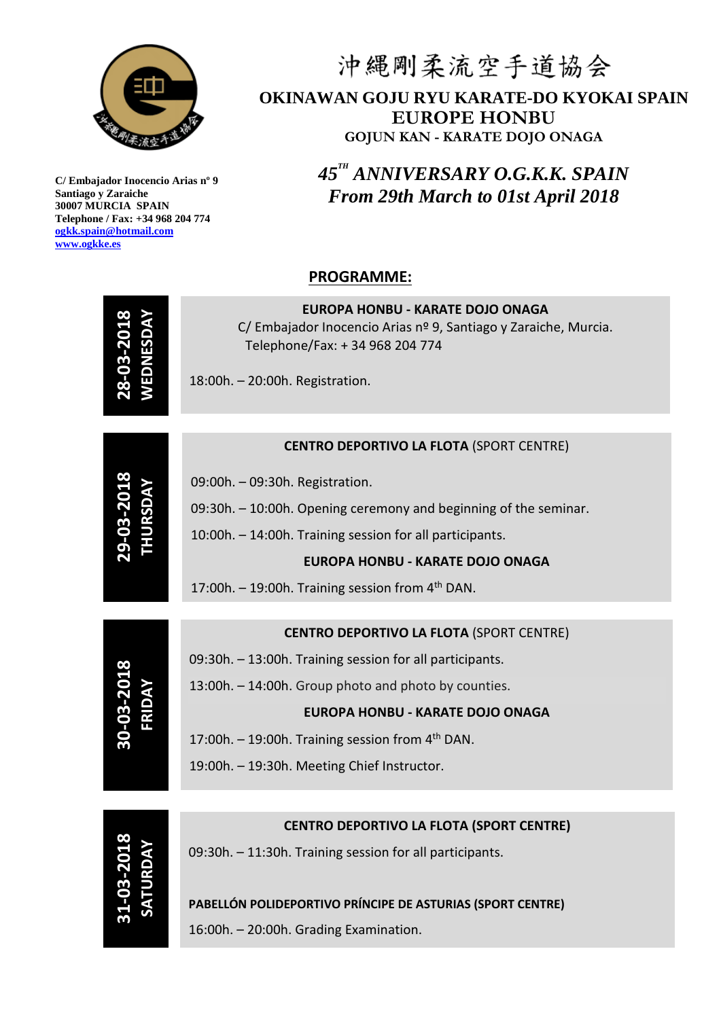

# 沖縄剛柔流空手道協会 **OKINAWAN GOJU RYU KARATE-DO KYOKAI SPAIN EUROPE HONBU GOJUN KAN - KARATE DOJO ONAGA**

*45 TH ANNIVERSARY O.G.K.K. SPAIN From 29th March to 01st April 2018*

### **PROGRAMME:**

| <b>WEDNESDA</b><br>28-03-20   | <b>EUROPA HONBU - KARATE DOJO ONAGA</b><br>C/ Embajador Inocencio Arias nº 9, Santiago y Zaraiche, Murcia.<br>Telephone/Fax: + 34 968 204 774<br>18:00h. - 20:00h. Registration. |
|-------------------------------|----------------------------------------------------------------------------------------------------------------------------------------------------------------------------------|
|                               |                                                                                                                                                                                  |
|                               | <b>CENTRO DEPORTIVO LA FLOTA (SPORT CENTRE)</b>                                                                                                                                  |
| <b>THURSDAY</b><br>29-03-201  | 09:00h. - 09:30h. Registration.                                                                                                                                                  |
|                               | 09:30h. - 10:00h. Opening ceremony and beginning of the seminar.                                                                                                                 |
|                               | 10:00h. - 14:00h. Training session for all participants.                                                                                                                         |
|                               | <b>EUROPA HONBU - KARATE DOJO ONAGA</b>                                                                                                                                          |
|                               | 17:00h. $-$ 19:00h. Training session from 4 <sup>th</sup> DAN.                                                                                                                   |
|                               |                                                                                                                                                                                  |
| 30-03-2018<br>FRIDAY          | <b>CENTRO DEPORTIVO LA FLOTA (SPORT CENTRE)</b>                                                                                                                                  |
|                               | 09:30h. - 13:00h. Training session for all participants.                                                                                                                         |
|                               | 13:00h. - 14:00h. Group photo and photo by counties.                                                                                                                             |
|                               | <b>EUROPA HONBU - KARATE DOJO ONAGA</b>                                                                                                                                          |
|                               | 17:00h. $-$ 19:00h. Training session from 4 <sup>th</sup> DAN.                                                                                                                   |
|                               | 19:00h. - 19:30h. Meeting Chief Instructor.                                                                                                                                      |
|                               |                                                                                                                                                                                  |
| <b>31-03-2018</b><br>SATURDAY | <b>CENTRO DEPORTIVO LA FLOTA (SPORT CENTRE)</b>                                                                                                                                  |
|                               | 09:30h. - 11:30h. Training session for all participants.                                                                                                                         |
|                               | PABELLÓN POLIDEPORTIVO PRÍNCIPE DE ASTURIAS (SPORT CENTRE)                                                                                                                       |
|                               | 16:00h. - 20:00h. Grading Examination.                                                                                                                                           |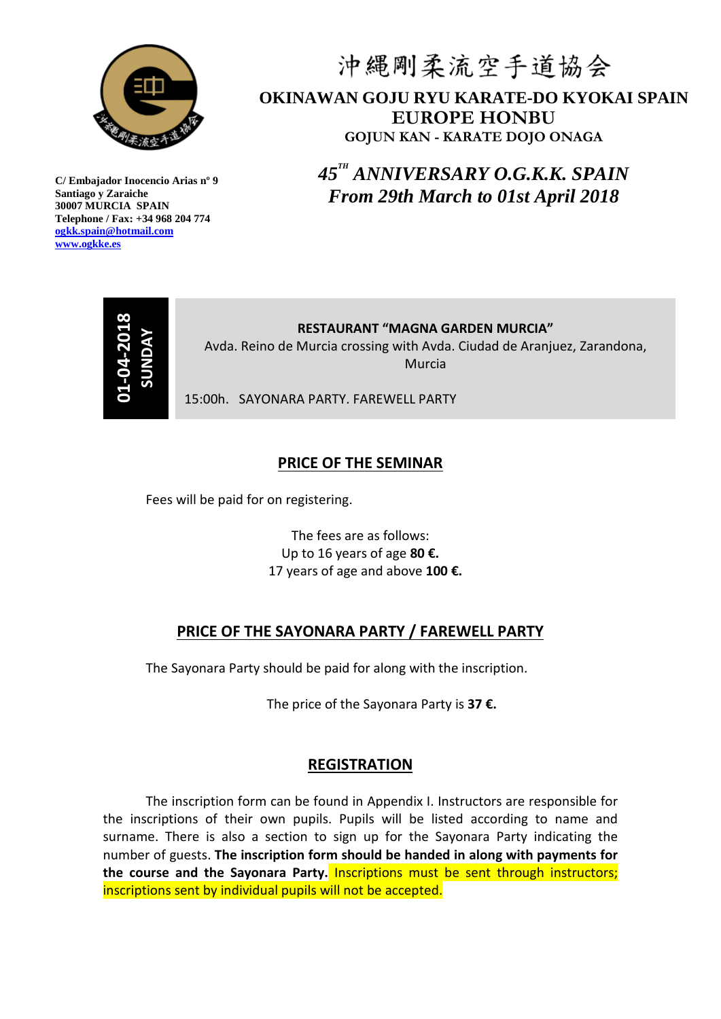

# 沖縄剛柔流空手道協会 **OKINAWAN GOJU RYU KARATE-DO KYOKAI SPAIN EUROPE HONBU GOJUN KAN - KARATE DOJO ONAGA**

*45 TH ANNIVERSARY O.G.K.K. SPAIN From 29th March to 01st April 2018*



**RESTAURANT "MAGNA GARDEN MURCIA"** Avda. Reino de Murcia crossing with Avda. Ciudad de Aranjuez, Zarandona, Murcia

15:00h. SAYONARA PARTY. FAREWELL PARTY

### **PRICE OF THE SEMINAR**

Fees will be paid for on registering.

The fees are as follows: Up to 16 years of age **80 €.** 17 years of age and above **100 €.**

#### **PRICE OF THE SAYONARA PARTY / FAREWELL PARTY**

The Sayonara Party should be paid for along with the inscription.

The price of the Sayonara Party is **37 €.**

#### **REGISTRATION**

The inscription form can be found in Appendix I. Instructors are responsible for the inscriptions of their own pupils. Pupils will be listed according to name and surname. There is also a section to sign up for the Sayonara Party indicating the number of guests. **The inscription form should be handed in along with payments for the course and the Sayonara Party.** Inscriptions must be sent through instructors; **EXECTS SENDENT AND SENDED AS AN EXECTS SENT AND SENDED AND SENDED THE SEMINAR**<br>
Frees will be paid for on registering.<br>
The fees are as follows:<br>
Up to 16 years of age **30 €.**<br>
17 years of age and above 100<br> **PRICE OF THE**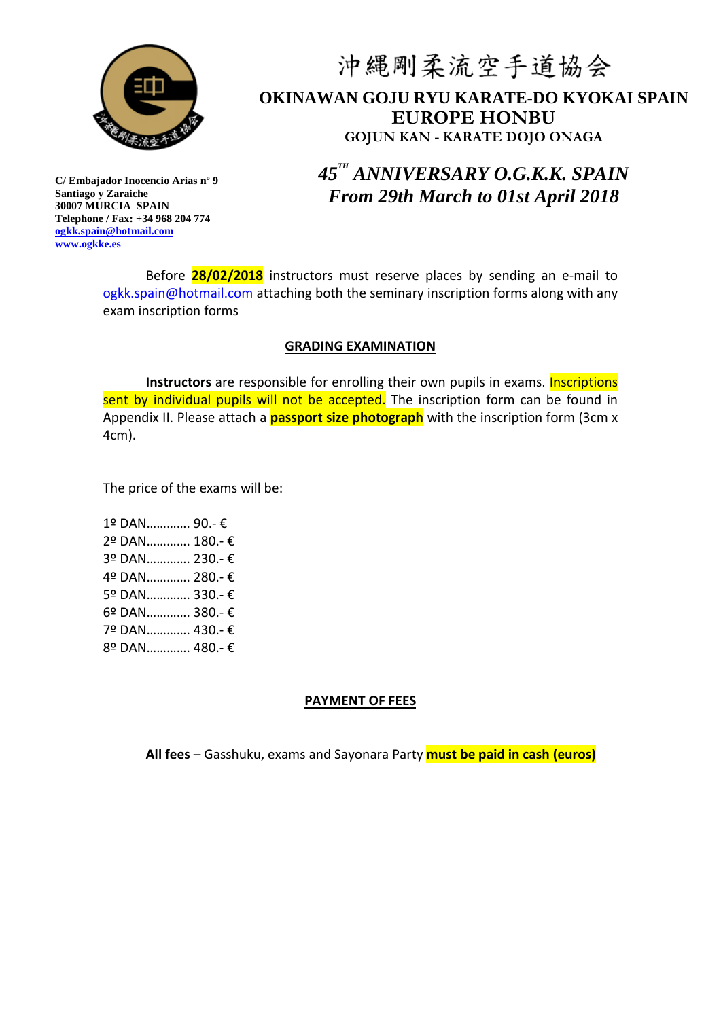

## 沖縄剛柔流空手道協会 **OKINAWAN GOJU RYU KARATE-DO KYOKAI SPAIN EUROPE HONBU GOJUN KAN - KARATE DOJO ONAGA**

*45 TH ANNIVERSARY O.G.K.K. SPAIN From 29th March to 01st April 2018*

**C/ Embajador Inocencio Arias nº 9 Santiago y Zaraiche 30007 MURCIA SPAIN Telephone / Fax: +34 968 204 774 [ogkk.spain@hotmail.com](mailto:ogkk.spain@hotmail.com) [www.ogkke.es](http://www.ogkke.es/)**

> Before **28/02/2018** instructors must reserve places by sending an e-mail to [ogkk.spain@hotmail.com](mailto:ogkk.spain@hotmail.com) attaching both the seminary inscription forms along with any exam inscription forms

#### **GRADING EXAMINATION**

**Instructors** are responsible for enrolling their own pupils in exams. Inscriptions sent by individual pupils will not be accepted. The inscription form can be found in Appendix II. Please attach a **passport size photograph** with the inscription form (3cm x 4cm).

The price of the exams will be:

1º DAN…………. 90.- € 2º DAN…………. 180.- € 3º DAN…………. 230.- € 4º DAN…………. 280.- € 5º DAN…………. 330.- € 6º DAN…………. 380.- € 7º DAN…………. 430.- € 8º DAN…………. 480.- €

#### **PAYMENT OF FEES**

**All fees** – Gasshuku, exams and Sayonara Party **must be paid in cash (euros)**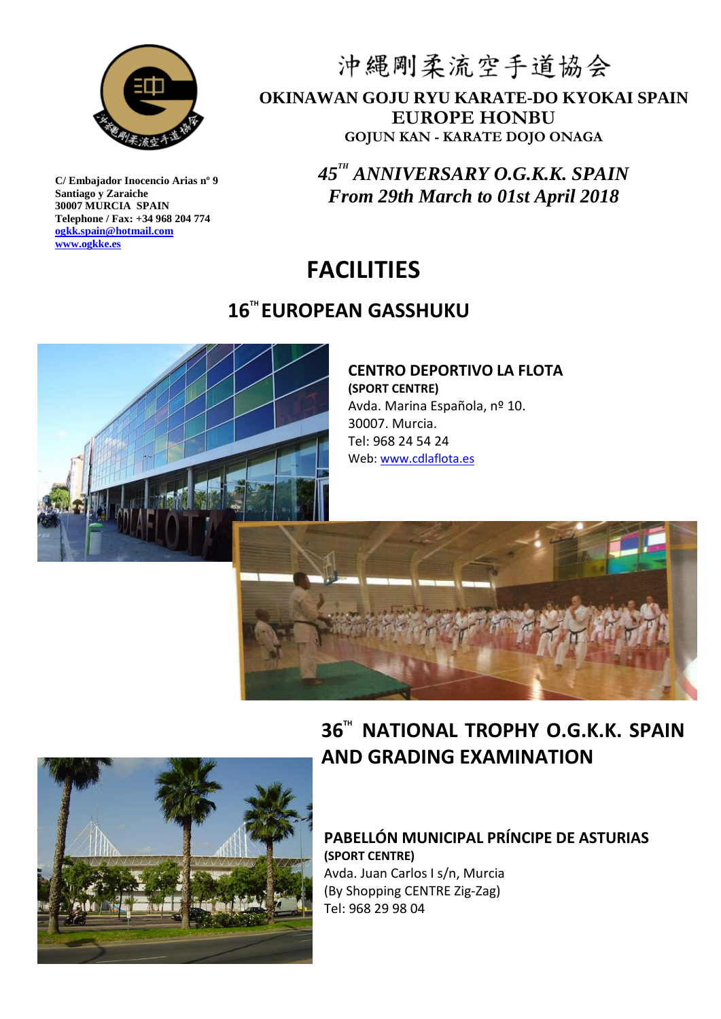

## 沖縄剛柔流空手道協会 **OKINAWAN GOJU RYU KARATE-DO KYOKAI SPAIN EUROPE HONBU GOJUN KAN - KARATE DOJO ONAGA**

*45 TH ANNIVERSARY O.G.K.K. SPAIN From 29th March to 01st April 2018*

# **FACILITIES**

## **16 TH EUROPEAN GASSHUKU**



#### **CENTRO DEPORTIVO LA FLOTA (SPORT CENTRE)** Avda. Marina Española, nº 10. 30007. Murcia. Tel: 968 24 54 24 Web: [www.cdlaflota.es](http://www.cdlaflota.es/)





# **36™ NATIONAL TROPHY O.G.K.K. SPAIN AND GRADING EXAMINATION**

### **PABELLÓN MUNICIPAL PRÍNCIPE DE ASTURIAS (SPORT CENTRE)** Avda. Juan Carlos I s/n, Murcia (By Shopping CENTRE Zig-Zag)

Tel: 968 29 98 04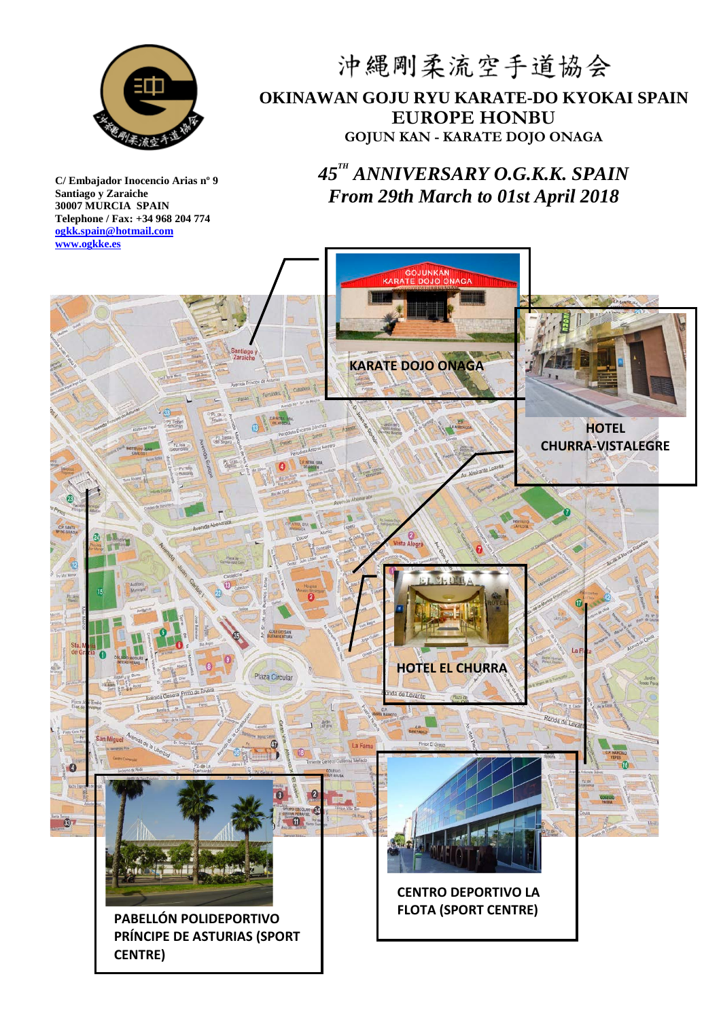

## 沖縄剛柔流空手道協会 **OKINAWAN GOJU RYU KARATE-DO KYOKAI SPAIN EUROPE HONBU GOJUN KAN - KARATE DOJO ONAGA**

### *45 TH ANNIVERSARY O.G.K.K. SPAIN From 29th March to 01st April 2018*

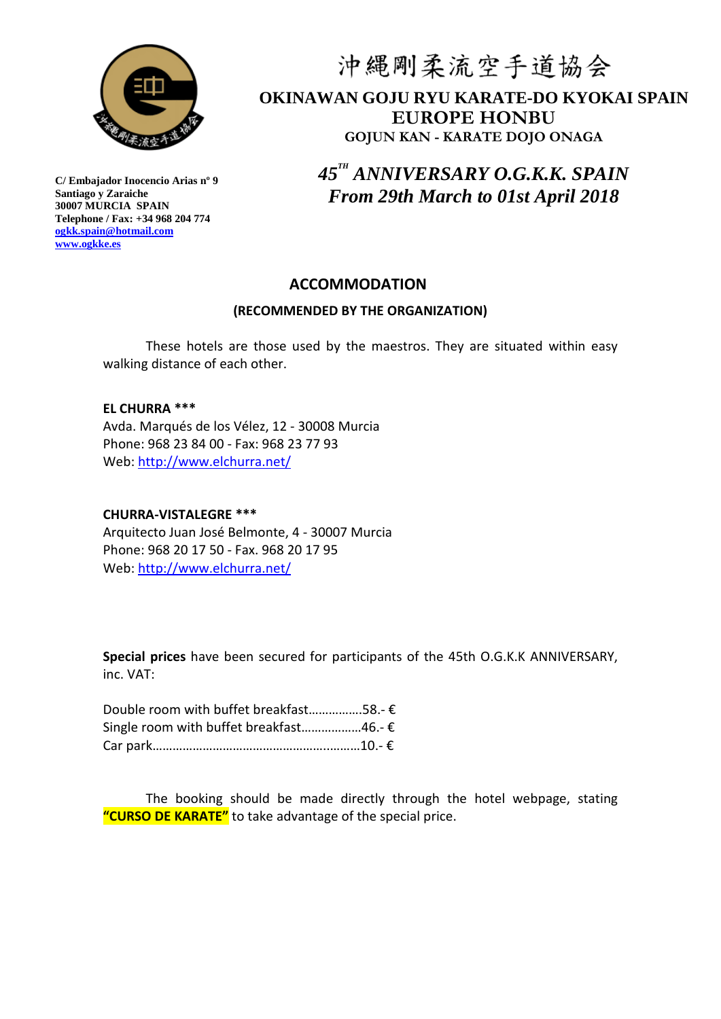

# 沖縄剛柔流空手道協会 **OKINAWAN GOJU RYU KARATE-DO KYOKAI SPAIN EUROPE HONBU GOJUN KAN - KARATE DOJO ONAGA**

*45 TH ANNIVERSARY O.G.K.K. SPAIN From 29th March to 01st April 2018*

### **ACCOMMODATION**

#### **(RECOMMENDED BY THE ORGANIZATION)**

These hotels are those used by the maestros. They are situated within easy walking distance of each other.

#### **EL CHURRA \*\*\***

Avda. Marqués de los Vélez, 12 - 30008 Murcia Phone: 968 23 84 00 - Fax: 968 23 77 93 Web: <http://www.elchurra.net/>

#### **CHURRA-VISTALEGRE \*\*\***

Arquitecto Juan José Belmonte, 4 - 30007 Murcia Phone: 968 20 17 50 - Fax. 968 20 17 95 Web: <http://www.elchurra.net/>

**Special prices** have been secured for participants of the 45th O.G.K.K ANNIVERSARY, inc. VAT:

| Double room with buffet breakfast58.- € |  |
|-----------------------------------------|--|
| Single room with buffet breakfast46.- € |  |
|                                         |  |

The booking should be made directly through the hotel webpage, stating **"CURSO DE KARATE"** to take advantage of the special price.